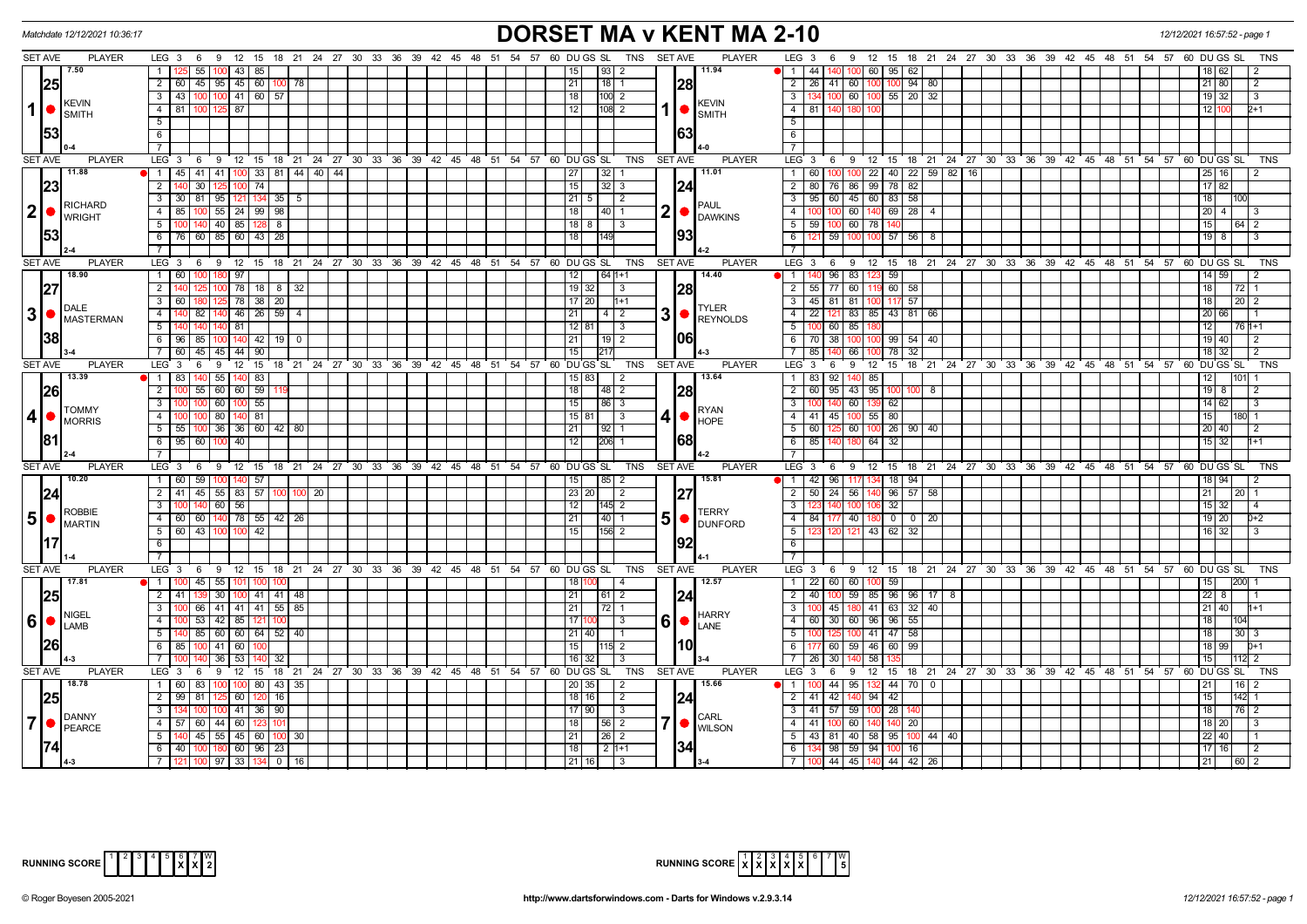| Matchdate 12/12/2021 10:36:17                     |                                                                                           | <b>DORSET MA v KENT MA 2-10</b>                                                                                                 | 12/12/2021 16:57:52 - page 1                                                             |
|---------------------------------------------------|-------------------------------------------------------------------------------------------|---------------------------------------------------------------------------------------------------------------------------------|------------------------------------------------------------------------------------------|
| <b>SET AVE</b><br><b>PLAYER</b>                   | LEG 3 6 9 12 15 18 21 24 27 30 33 36 39 42 45 48 51 54 57 60 DUGS SL TNS SETAVE           | <b>PLAYER</b>                                                                                                                   | LEG 3 6 9 12 15 18 21 24 27 30 33 36 39 42 45 48 51 54 57 60 DUGS SL<br>TNS              |
| 7.50                                              | 1   125   55   100   43   85                                                              | $\vert 93 \vert 2$<br>11.94<br>  15                                                                                             | $\bullet$ 1 44 44 140 100 60 95 62<br>18   62  <br>2                                     |
| 25                                                | 2 60 45 95 45 60 100 78                                                                   | 28<br>21<br>$18$   1<br>$\overline{2}$                                                                                          | 26 41 60 100 100 94 80<br> 21 80 <br>2                                                   |
| <b>KEVIN</b><br>$1$ $\bullet$<br>SMITH            | $100$ 41 60 57<br>3   43   100                                                            | 18<br>$100$ 2<br>3 <sup>1</sup><br>KEVIN                                                                                        | 134 100 60 100 55 20 32<br>19 32 <br>l 3                                                 |
|                                                   | $4 \mid 81$<br>$125$ 87<br>100                                                            | 12 <br>$108$ 2<br>$1  \bullet  _{\text{SMITH}}$<br>$-4$                                                                         | 81 140 180<br>12 100<br>1+2                                                              |
|                                                   | 5                                                                                         | 5                                                                                                                               |                                                                                          |
| 1531                                              | 6                                                                                         | 63<br>6                                                                                                                         |                                                                                          |
|                                                   |                                                                                           | $\overline{7}$                                                                                                                  |                                                                                          |
| <b>SET AVE</b><br><b>PLAYER</b>                   | $LEG_3$ 6<br>9 12 15 18 21 24 27 30 33 36 39 42 45 48 51 54 57 60 DUGS SL                 | TNS<br>SET AVE<br><b>PLAYER</b><br>LEG <sub>3</sub>                                                                             | 6 9 12 15 18 21 24 27 30 33 36 39 42 45 48 51 54 57 60 DUGS SL<br>TNS                    |
| 11.88                                             | 0 1 45 41 41 100 33 81 44 40 44                                                           | 11.01<br>$32 \mid 1$<br>  27                                                                                                    | 1 60 100 100 22 40 22 59 82 16<br> 25 16 <br>$\overline{2}$                              |
| 23                                                | 125 100 74<br>$2 \mid 140$<br>30                                                          | 15<br>$32 \mid 3$<br> 24                                                                                                        | 2 80 76 86 99 78 82<br>17 82                                                             |
| <b>RICHARD</b>                                    | $3$   30   81   95   121   134   35   5                                                   | 21 5 2<br>PAUL                                                                                                                  | 3   95   60   45   60   83   58<br> 18                                                   |
| $ 2  \bullet  _{\text{WRIGHT}}^{\text{KICHARY}}$  | 4   85   100   55   24   99   98                                                          | $2$ $\bullet$ $\beta$ $\beta$ $\beta$ $\beta$ $\beta$ $\beta$ $\beta$<br>18<br>$\vert 40 \vert 1$<br>$-4$                       | 100 100 60 140 69 28 4<br> 20 4 <br>3                                                    |
|                                                   | 5 100 140 40 85 128<br>8                                                                  | 18   8  <br>$\overline{3}$<br>93                                                                                                | 5 59 100 60 78<br>15 I<br>16412<br>100                                                   |
| 153                                               | 6 76 60 85 60 43 28                                                                       | 18<br>6                                                                                                                         | 59 100<br>$57$ 56<br>$19$ 8<br>121<br>8                                                  |
| <b>SET AVE</b><br><b>PLAYER</b>                   | $LEG_3$ 6<br>$9^{\circ}$ 12<br>15<br>18 21 24 27 30 33 36 39 42 45 48 51 54 57 60 DUGS SL | <b>TNS</b><br><b>SET AVE</b><br><b>PLAYER</b><br>LEG <sup>3</sup>                                                               | ີ 9.<br>12<br>15 18 21 24 27 30 33 36 39 42 45 48 51 54 57 60 DUGS SL<br>6<br><b>TNS</b> |
| 18.90                                             | 97<br>$1 \overline{60}$                                                                   | 14.40<br>12<br>$641+1$<br>$\blacksquare$                                                                                        | 59<br>96 83<br>14 59<br>140                                                              |
| 127                                               | 78 18 8 32<br>$\overline{2}$                                                              | 28<br>$19$ 32<br>$\overline{2}$<br>$\overline{1}$ 3                                                                             | 55 77 60<br>60 58<br>18<br>72                                                            |
|                                                   | 5 78 38 20<br>3   60   180                                                                | $17$   20  <br>$1+1$<br>3                                                                                                       | 45 81 81 100<br> 18 <br>117 57<br>$\boxed{20}$ 2                                         |
| <b>DALE</b><br>3 •                                | $-4$<br>82<br>40 46 26<br>59<br>140                                                       | <b>TYLER</b><br>$3 \cdot \frac{1}{100}$ Reynolds<br>21<br>$\begin{array}{c c c c c} \hline 4 & 2 \end{array}$<br>$\overline{A}$ | 22<br>83 85 43 81<br>20 66<br>66                                                         |
| <b>MASTERMAN</b>                                  | $5 \overline{140}$<br> 81                                                                 | $12$ 81<br>$\vert$ 3<br>5 <sub>5</sub>                                                                                          | 100 <sub>l</sub><br>60 85<br>12<br>76   1+1                                              |
| 38                                                | 6 96 85<br>$100$ 140 42 19 0                                                              | 106<br>21<br>$\vert 19 \vert 2$<br>6 <sup>1</sup>                                                                               | 70 38 100<br>19 40 <br>99 54 40<br>100<br>2                                              |
|                                                   | 7 60 45<br>45   44   90                                                                   | 15 <br>$\overline{7}$<br>1217                                                                                                   | 78 32<br>85<br>18 32<br>66<br>-2                                                         |
| <b>SET AVE</b><br><b>PLAYER</b>                   | $LEG_3$ 6<br>9 12 15 18 21 24 27 30 33 36 39 42 45 48 51 54 57 60 DUGS SL                 | TNS<br><b>SET AVE</b><br><b>PLAYER</b>                                                                                          | LEG 3 6 9 12 15 18 21 24 27 30 33 36 39 42 45 48 51 54 57 60 DUGS SL<br>TNS              |
| 13.39                                             | 1 83 140<br>55 140 83                                                                     | 13.64<br>15 83 <br>$\overline{2}$                                                                                               | 1 83 92 140 85<br>12 I                                                                   |
| 26                                                | 2 100 55<br>60 60 59                                                                      | 28<br>18<br>48 2<br>$\overline{2}$                                                                                              | 60 95 43 95<br>$19$ 8<br>8                                                               |
| <b>TOMMY</b>                                      | 60   100   55<br>3<br>100                                                                 | 15<br>86 3<br>$\overline{\mathbf{3}}$                                                                                           | 60<br>62<br>14 62 <br>-3                                                                 |
| $ 4 $ $\bullet$ $\frac{1}{100}$ MORRIS            | 80   140   81<br>4 100 100                                                                | <b>I</b> RYAN<br>$4 • $ HOPE<br>$\sim$ 4                                                                                        | 41 45 100 55 80<br>15                                                                    |
|                                                   | 5   55   100   36   36   60   42   80                                                     | 92 1<br>21                                                                                                                      | 5 60 125 60 100 26 90 40<br> 20 40 <br>$\overline{2}$                                    |
| 181                                               | 6 95 60 100 40                                                                            | 68<br> 12 <br>$ 206 $ 1                                                                                                         | 6 85 140 180 64 32<br>  15   32  <br>1+1                                                 |
|                                                   |                                                                                           |                                                                                                                                 |                                                                                          |
| <b>PLAYER</b><br><b>SET AVE</b>                   | $LEG_3$ 6<br>$9 \t12 \t15$<br>18 21 24 27 30 33 36 39 42 45 48 51 54 57 60 DUGS SL        | <b>PLAYER</b><br><b>TNS</b><br><b>SET AVE</b><br>$LEG_3$                                                                        | 69<br>12 15 18 21 24 27 30 33 36 39 42 45 48 51 54 57 60 DUGS SL<br>TNS                  |
| 10.20                                             | 1 60 59 100 140 57                                                                        | 85 2<br>15.81<br>  15                                                                                                           | 1 42 96 117 134 18 94<br>  18   94  <br>-2                                               |
| 24                                                | 2 41 45 55 83 57<br>$100$ 20                                                              | 27<br>23 20<br>$\overline{2}$<br>$\overline{2}$                                                                                 | $96$ 57 58<br>50 24 56<br> 21 <br><b>20</b>                                              |
| <b>ROBBIE</b>                                     | 3   100   140   60   56                                                                   | 12<br>$ 145 $ 2<br>$\overline{\mathbf{3}}$<br><b>TERRY</b>                                                                      | $\overline{32}$<br>  15   32  <br>140 100<br>1በԲ<br>-4                                   |
| $\vert 5 \vert$ $\bullet$ $\vert_{\text{MARTIN}}$ | 4 60 60 140 78 55 42 26<br>5   60   43   100   100   42                                   | $50$ DUNFORD<br> 40 1<br>21<br>15<br>$5\vert$                                                                                   | 4 84 177 40 180 0 0 20<br> 19 20 <br>$D+2$<br>123 120 121 43 62 32                       |
| 117                                               | 6                                                                                         | $156$ 2<br>92<br>6                                                                                                              | 16   32                                                                                  |
|                                                   | 7 <sup>1</sup>                                                                            | $\overline{7}$                                                                                                                  |                                                                                          |
| <b>SET AVE</b><br><b>PLAYER</b>                   | LEG 3 6 9 12 15 18 21 24 27 30 33 36 39 42 45 48 51 54 57 60 DUGS SL TNS                  | <b>PLAYER</b><br>SET AVE                                                                                                        | LEG 3 6 9 12 15 18 21 24 27 30 33 36 39 42 45 48 51 54 57 60 DUGS SL<br><b>TNS</b>       |
| 17.81                                             | 1 1 100 45 55 101 100                                                                     | 18<br>12.57<br>$\overline{4}$                                                                                                   | 1 22 60 60 100 59<br>$\overline{15}$<br> 200                                             |
| <b>25</b>                                         | 30 100 41 41 48<br>2   41   139                                                           | 24 <br>21<br>$\overline{2}$                                                                                                     | 40 100 59 85 96 96 17 8<br>$\sqrt{228}$                                                  |
|                                                   | $3 \mid 100 \mid 66 \mid 41 \mid 41 \mid 41 \mid 55 \mid 85$                              | 21<br>3 <sup>1</sup>                                                                                                            | 100 45 180 41 63 32 40<br> 21 40                                                         |
| <b>NIGEL</b><br> 6   ●                            | 4   100   53   42   85   121                                                              | <b>HARRY</b><br>$60$ $\bullet$ $\overline{L}$ $\overline{L}$ $\overline{L}$<br>17<br>l 3                                        | 4 60 30 60 96 96 55<br> 18                                                               |
| LAMB                                              | $5-1$<br>140 85 60 60 64 52 40                                                            | $\overline{5}$<br>21   40                                                                                                       | 125 100 41 47 58<br>18<br>30 <sub>l</sub>                                                |
| 26 <br>4-3                                        | 6 85 100<br>$41$ 60                                                                       | 10 <br>15<br>$115$ 2<br>6                                                                                                       | 60 59 46<br>60 99<br>18 99<br>$n+1$                                                      |
|                                                   | 53<br>7 1 100<br>36 I<br>32                                                               | 16<br>$\overline{7}$<br>3                                                                                                       | 30<br>15<br>26<br>58                                                                     |
| <b>SET AVE</b><br><b>PLAYER</b>                   | $LEG_3$ 6<br>$9$ 12 15 18 21 24 27 30 33 36 39 42 45 48 51 54 57 60 DUGS SL TNS           | <b>SET AVE</b><br><b>PLAYER</b>                                                                                                 | LEG 3 6 9 12 15 18 21 24 27 30 33 36 39 42 45 48 51 54 57 60 DUGS SL<br><b>TNS</b>       |
| 18.78                                             | 1 60 83<br>00 100 80<br>  43   35                                                         | 15.66<br>20 35<br>$\overline{2}$                                                                                                | 44 95<br>44 70<br>  21  <br>  16  <br>$\Omega$                                           |
| <b>25</b>                                         | 2 99 81<br>5 60 120<br>16                                                                 | 24 <br>$18$   16 <br>$\overline{2}$<br>$\overline{2}$                                                                           | 41<br>42 140<br>$94 \overline{42}$<br>15<br>142                                          |
| <b>DANNY</b>                                      | 3 <sup>1</sup><br>100 41 36<br>90                                                         | 17 90<br>$\vert$ 3<br>3<br><b>CARL</b>                                                                                          | 18 <br>41 57 59<br>28<br>76<br>$\overline{2}$                                            |
| $7$ $\bullet$ $P_{\text{PEARCE}}$                 | 4 57 60<br>44 60                                                                          | 7 •<br>$\sqrt{56}$ 2<br>  18  <br>$\overline{4}$<br><b>WILSON</b>                                                               | 18   20  <br>41 100 60<br>140 20<br>140<br>-3                                            |
|                                                   | 5   140   45   55   45   60  <br>$100$ 30                                                 | 21<br>5                                                                                                                         | 22 40 <br>43 81 40 58 95 100 44 40                                                       |
|                                                   | 6 40 100 180 60 96 23                                                                     | 34 <br>18<br>$121+1$<br>6                                                                                                       | 134 98 59 94 100 16<br>$17$ 16<br>2                                                      |
|                                                   | 7   121   100   97   33   134   0   16                                                    | $\sqrt{21}$ 16<br>$\overline{3}$<br>$13-4$                                                                                      | 7 100 44 45 140 44 42 26<br>$ 21 $ $ 60 2$                                               |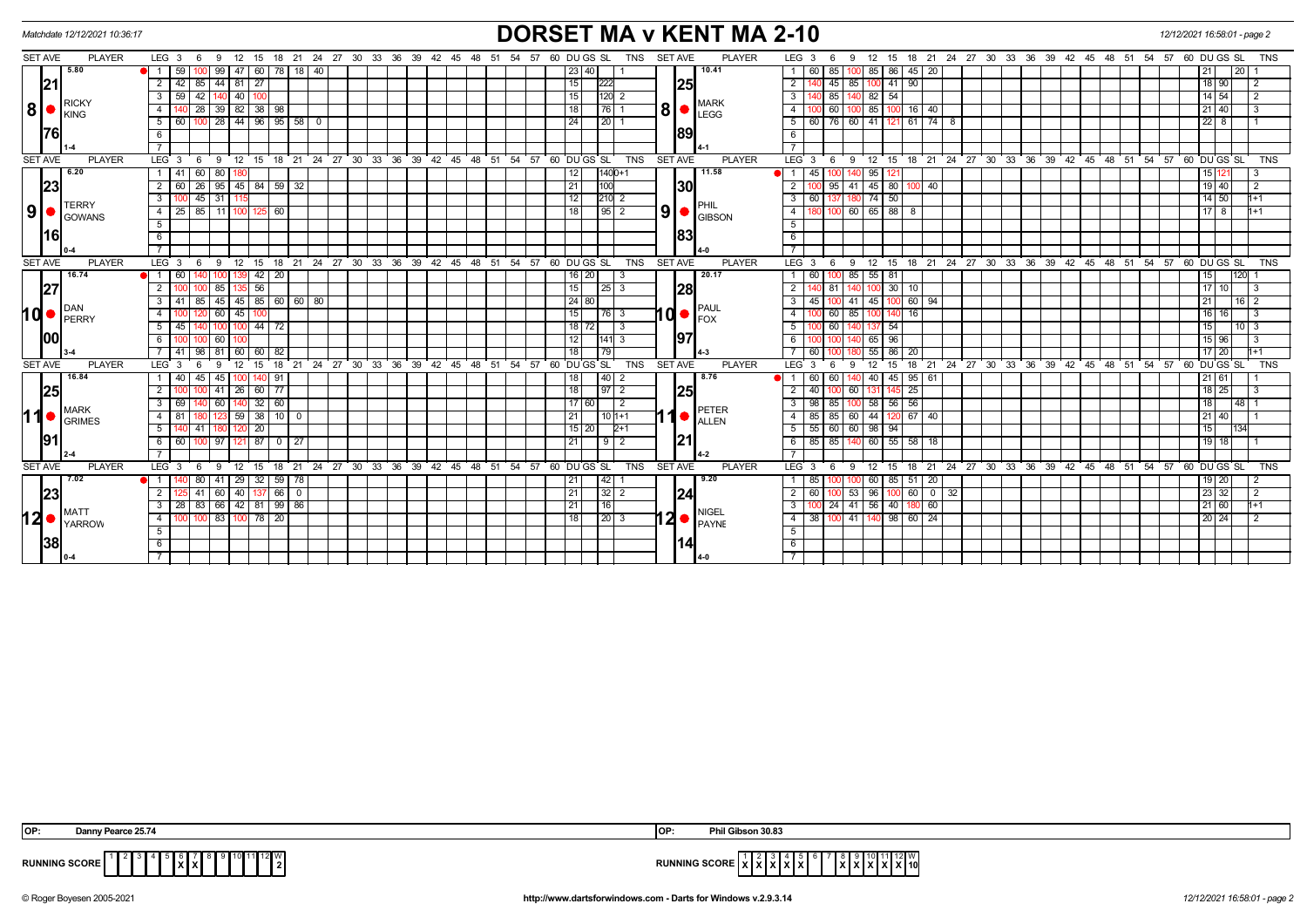|                       | Matchdate 12/12/2021 10:36:17 | <b>DORSET MA v KENT MA 2-10</b>                                                                                                                                                                                                  |                                                                                                | 12/12/2021 16:58:01 - page 2          |
|-----------------------|-------------------------------|----------------------------------------------------------------------------------------------------------------------------------------------------------------------------------------------------------------------------------|------------------------------------------------------------------------------------------------|---------------------------------------|
| <b>SET AVE</b>        | <b>PLAYER</b>                 | $LEG_36$<br>12 15 18 21 24 27 30 33 36 39 42 45 48 51 54 57 60 DUGS SL<br><b>TNS</b><br><b>SET AVE</b><br><b>PLAYER</b><br>- 9                                                                                                   | 9 12 15 18 21 24 27 30 33 36 39 42 45 48 51 54 57 60 DUGS SL<br>LEG <sub>3</sub><br>- 6        | <b>TNS</b>                            |
|                       | 5.80                          | 60   78   18   40<br>59<br>47<br>10.41<br>99 I<br>23 40                                                                                                                                                                          | 85<br>85<br>86<br>$45 \mid 20$<br>60 I<br>$\mathbf{1}$                                         | l 20 l                                |
| 21                    |                               | $2 \mid 42$<br>$85$   44   81  <br>$\overline{27}$<br>15<br><b>25</b><br>222                                                                                                                                                     | $\overline{2}$<br>90<br>45<br>85<br>41                                                         | $18$   90                             |
|                       |                               | 42   140   40  <br> 120 2<br>3   59 <br>15<br>100                                                                                                                                                                                | 85<br>140 82 54<br>3                                                                           | 14   54                               |
| 8                     | <b>RICKY</b><br>KING          | MARK<br>8<br>28 39 82 38 38<br>18<br>  76   1<br>4<br>LEGG                                                                                                                                                                       | 85<br>$\overline{4}$<br>60<br>$16$ 40                                                          | 21   40                               |
|                       |                               | $100$ 28 44 96 95 58 0<br>24<br>$\vert 20 \vert 1$<br>5   60                                                                                                                                                                     | $\overline{5}$<br>60 76 60 41 121 61 74 8                                                      | $22$ 8                                |
| 1761                  |                               | 1891<br>6                                                                                                                                                                                                                        | 6                                                                                              |                                       |
|                       |                               |                                                                                                                                                                                                                                  |                                                                                                |                                       |
| <b>SET AVE</b>        | <b>PLAYER</b>                 | $9 \quad 12 \quad 15 \quad 18 \quad 21 \quad 24 \quad 27 \quad 30 \quad 33 \quad 36 \quad 39 \quad 42 \quad 45 \quad 48 \quad 51 \quad 54 \quad 57$<br>60 DUGS SL<br><b>TNS</b><br><b>SET AVE</b><br><b>PLAYER</b><br>LEG 3<br>6 | 12 15 18 21 24 27 30 33 36 39 42 45 48 51 54 57 60 DUGS SL<br>$LEG \ 3$<br>- 6<br>- 9          | TNS                                   |
|                       | 6.20                          | 1 41 60 80<br>11.58<br>12<br>$1400+1$<br>180                                                                                                                                                                                     | 45<br>95<br>$\overline{1}$                                                                     | 15 121                                |
| 23                    |                               | $2 \mid 60$<br>26   95   45   84   59   32<br>21<br>100<br><b>1301</b>                                                                                                                                                           | $\overline{2}$<br>41 45 80 100 40<br>95                                                        | 19   40                               |
|                       | <b>TERRY</b>                  | 12<br>$3 \mid 100$<br>$45 \mid 31$<br>$210$ 2                                                                                                                                                                                    | 74<br>50<br>$\overline{\mathbf{3}}$<br>60                                                      | 14 50                                 |
| 9 ●                   | <b>GOWANS</b>                 | $9$  <br>18<br>$\frac{1}{95}$ 2<br>4 25 85 11 100<br>$125 \ 60$<br><b>GIBSON</b>                                                                                                                                                 | 180 100 60 65 88 8<br>$\overline{4}$                                                           | $17$   8                              |
|                       |                               | 5                                                                                                                                                                                                                                | $\overline{5}$                                                                                 |                                       |
| 16                    |                               | 83 <br>6                                                                                                                                                                                                                         | 6                                                                                              |                                       |
|                       |                               |                                                                                                                                                                                                                                  |                                                                                                |                                       |
| <b>SET AVE</b>        | <b>PLAYER</b>                 | 15 18 21 24 27 30 33 36 39 42 45 48 51 54 57 60 DUGS SL<br><b>TNS</b><br><b>SET AVE</b><br><b>PLAYER</b><br>LEG <sub>3</sub><br>$^{\circ}$ 12<br>6<br>- 9                                                                        | 12 15 18 21 24 27 30 33 36 39 42 45 48 51 54 57 60 DUGS SL<br>$LEG$ 3<br>9<br>- 6              | <b>TNS</b>                            |
|                       | 16.74                         | 20.17<br>$42 \mid 20$<br>1 60<br>16 20<br>139<br>3<br>100 I                                                                                                                                                                      | 60 100 85 55 81                                                                                | 120 <br>15                            |
| 27                    | DAN                           | 56<br>$2 \mid 100$<br>15<br><b>1281</b><br>85<br>$\vert 25 \vert 3$<br>135                                                                                                                                                       | $\overline{2}$<br>$100$ 30 10<br>81                                                            | 17110<br>IЗ                           |
|                       |                               | $3   41   85   45   45   85   60   60   80$<br>24 80<br><b>PAUL</b>                                                                                                                                                              | $100$ 60 94<br>$\overline{3}$<br>100 41 45<br>45 I                                             | 21 I<br>  16   2                      |
| $\mathsf{Id} \bullet$ | PERRY                         | 10 ●<br>$60$   45<br>15<br>4<br>76 3<br>100<br><b>I</b> FOX                                                                                                                                                                      | $\overline{4}$<br>85<br>16<br>60<br>100                                                        | $16$ 16                               |
|                       |                               | 140 100 100 44 72<br>18 72<br>$5 \mid 45$<br>$\overline{3}$                                                                                                                                                                      | 5<br>100 60<br>137 54                                                                          | 15  <br> 10 3                         |
| 100                   |                               | 197<br>12<br>$141\overline{3}$<br>6 I<br>60 l<br>100<br>100                                                                                                                                                                      | $6\overline{6}$<br>96<br>65                                                                    | 15 96                                 |
|                       |                               | 7 41 98 81 60 60 82<br>18<br>79                                                                                                                                                                                                  | 55 86 20<br>60 I                                                                               | 17   20                               |
| <b>SET AVE</b>        | <b>PLAYER</b>                 | 15 18 21 24 27 30 33 36 39 42<br>45 48 51<br>54 57<br>60 DU GS SL<br>TNS<br><b>SET AVE</b><br><b>PLAYER</b><br>LEG <sub>3</sub><br>12<br>6<br>-9                                                                                 | 12<br>18 21 24 27 30 33 36 39 42 45 48 51<br>LEG <sub>3</sub><br>15<br>- 6<br>9                | 54<br>57<br>60 DU GS SL<br><b>TNS</b> |
|                       | 16.84                         | 8.76<br>$1 \mid 40$<br>45 45<br> 40 2<br>100<br>140 91<br>18                                                                                                                                                                     | 60 60<br>140 40<br>45 95 61<br>$\overline{1}$                                                  | 21161                                 |
| 25                    |                               | <b>25</b><br>2 <sup>1</sup><br>$141$ 26<br>$60$   77<br>18<br>$\sqrt{97}$ 2                                                                                                                                                      | 25<br>60<br>$\overline{2}$<br>40 I<br>131                                                      | $18$   25                             |
|                       | <b>MARK</b>                   | 32   60<br>$3 \mid 69$<br>17 60<br>140 60 140<br>$\sqrt{2}$<br>PETER                                                                                                                                                             | 98 85 100 58 56 56<br>$\overline{3}$                                                           | 18  <br> 48  1                        |
|                       | <b>GRIMES</b>                 | 10<br>$123$ 59 38 10 0<br>21<br>4   81<br>$10 1+1$<br>ALLEN                                                                                                                                                                      | 60 44<br>120 67 40<br>$\overline{4}$<br>85 85                                                  | 21   40                               |
|                       |                               | 5   140<br>20 <sup>2</sup><br>$15$   20<br>$41 \cdot$<br>$2+1$<br>120                                                                                                                                                            | 55 60 60 98 94<br>5                                                                            | 1134<br>15 I                          |
| <b>191</b>            |                               | 21<br>100 97 121 87 0 27<br>21<br>6 6 6 1<br>$\begin{array}{c c c c c} 9 & 2 \\ \hline \end{array}$                                                                                                                              | 85 85 140 60 55 58 18<br>6                                                                     | $19$ 18                               |
|                       |                               |                                                                                                                                                                                                                                  | $\overline{7}$                                                                                 |                                       |
| <b>SET AVE</b>        | <b>PLAYER</b>                 | LEG <sub>3</sub><br>15 18 21 24 27 30 33 36 39 42 45 48 51 54 57<br>60 DU GS SL<br><b>TNS</b><br><b>SET AVE</b><br><b>PLAYER</b><br>ີ 12<br>-6<br>- 9                                                                            | 18 21 24 27 30 33 36 39 42 45 48 51 54<br>LEG <sub>3</sub><br>$^{\circ}$ 12<br>15<br>- 6<br>-9 | 57<br>60 DU GS SL<br><b>TNS</b>       |
|                       | 7.02<br>MATT<br>YARROW        | 9.20<br>29<br>$32$   59<br>42 <sub>1</sub><br>80 I<br>78<br>21                                                                                                                                                                   | 85 51 20<br>85<br>60                                                                           | 19   20                               |
| 23                    |                               | 41 60 40 137 66 0<br> 21 <br>2 <sup>1</sup><br>$ 32 $ 2<br>124<br>125                                                                                                                                                            | 100 53 96<br>$100 \t60 \t0 \t32$<br>$\overline{2}$<br>60 I                                     | 23 32 <br>l 2                         |
|                       |                               | 83 66 42 81 99 86<br>3   28<br> 21<br>16<br>NIGEL                                                                                                                                                                                | 41 56 40 180<br>3<br>00 24<br>60                                                               | 21   60  <br>l1+1                     |
| 12                    |                               | 100 83 100 78 20<br>18<br>$\vert$ 20 $\vert$ 3<br>$4 \overline{100}$                                                                                                                                                             | 38 100 41 140 98 60 24<br>$\overline{4}$                                                       | 20 24<br>$\sqrt{2}$                   |
|                       |                               | 5                                                                                                                                                                                                                                | 5                                                                                              |                                       |
| 38                    |                               | 6                                                                                                                                                                                                                                | 6                                                                                              |                                       |
|                       |                               |                                                                                                                                                                                                                                  |                                                                                                |                                       |

| OP: | Danı<br><sup>- Pearce 25.74</sup>            | Phil Gibson 30.83<br><b>IOP</b>                                                |
|-----|----------------------------------------------|--------------------------------------------------------------------------------|
|     | 12II W<br><b>RUNNING SCORE</b><br><u>лип</u> | 1   12   W<br>RUNNING SCORE XXXI<br>.<br>.<br>^ '^<br>$\overline{\phantom{a}}$ |